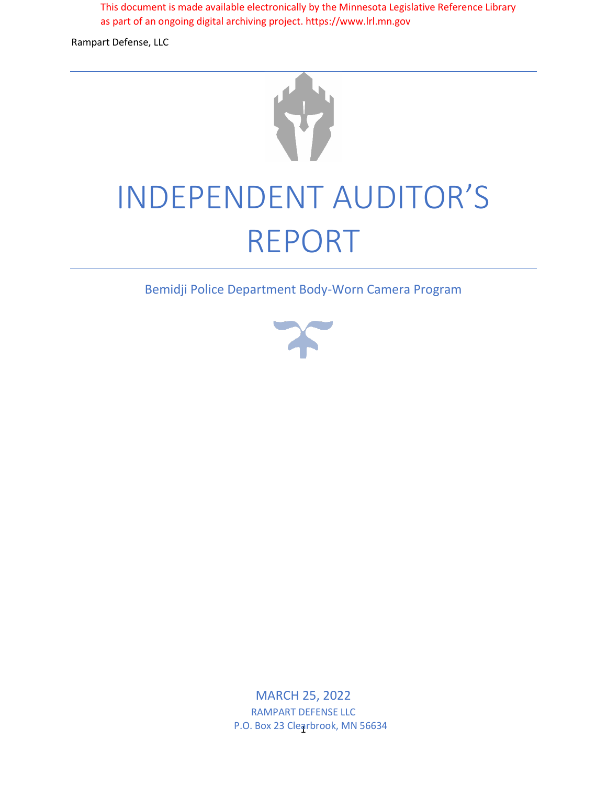This document is made available electronically by the Minnesota Legislative Reference Library as part of an ongoing digital archiving project. https://www.lrl.mn.gov

Rampart Defense, LLC



Bemidji Police Department Body-Worn Camera Program



1 P.O. Box 23 Clearbrook, MN 56634 MARCH 25, 2022 RAMPART DEFENSE LLC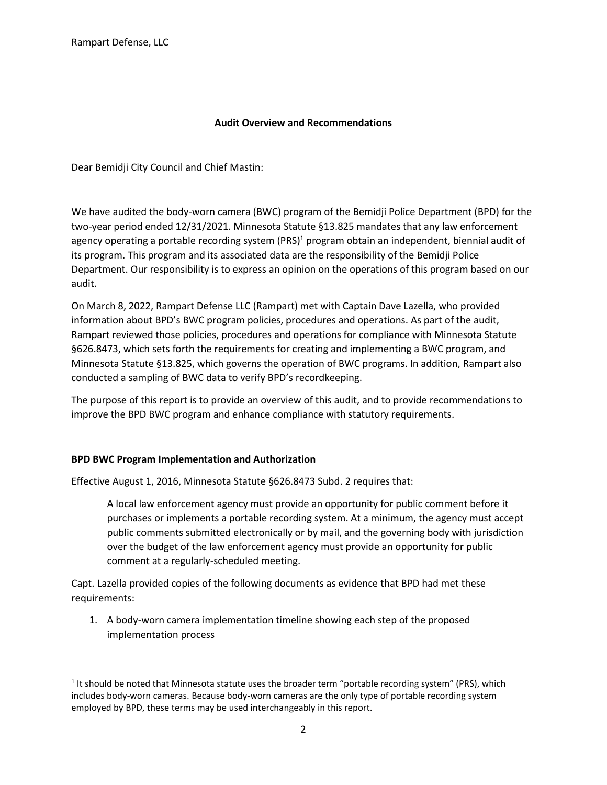#### **Audit Overview and Recommendations**

Dear Bemidji City Council and Chief Mastin:

We have audited the body-worn camera (BWC) program of the Bemidji Police Department (BPD) for the two-year period ended 12/31/2021. Minnesota Statute §13.825 mandates that any law enforcement agency operating a portable recording system (PRS)<sup>1</sup> program obtain an independent, biennial audit of its program. This program and its associated data are the responsibility of the Bemidji Police Department. Our responsibility is to express an opinion on the operations of this program based on our audit.

On March 8, 2022, Rampart Defense LLC (Rampart) met with Captain Dave Lazella, who provided information about BPD's BWC program policies, procedures and operations. As part of the audit, Rampart reviewed those policies, procedures and operations for compliance with Minnesota Statute §626.8473, which sets forth the requirements for creating and implementing a BWC program, and Minnesota Statute §13.825, which governs the operation of BWC programs. In addition, Rampart also conducted a sampling of BWC data to verify BPD's recordkeeping.

The purpose of this report is to provide an overview of this audit, and to provide recommendations to improve the BPD BWC program and enhance compliance with statutory requirements.

#### **BPD BWC Program Implementation and Authorization**

Effective August 1, 2016, Minnesota Statute §626.8473 Subd. 2 requires that:

A local law enforcement agency must provide an opportunity for public comment before it purchases or implements a portable recording system. At a minimum, the agency must accept public comments submitted electronically or by mail, and the governing body with jurisdiction over the budget of the law enforcement agency must provide an opportunity for public comment at a regularly-scheduled meeting.

Capt. Lazella provided copies of the following documents as evidence that BPD had met these requirements:

1. A body-worn camera implementation timeline showing each step of the proposed implementation process

<sup>&</sup>lt;sup>1</sup> It should be noted that Minnesota statute uses the broader term "portable recording system" (PRS), which includes body-worn cameras. Because body-worn cameras are the only type of portable recording system employed by BPD, these terms may be used interchangeably in this report.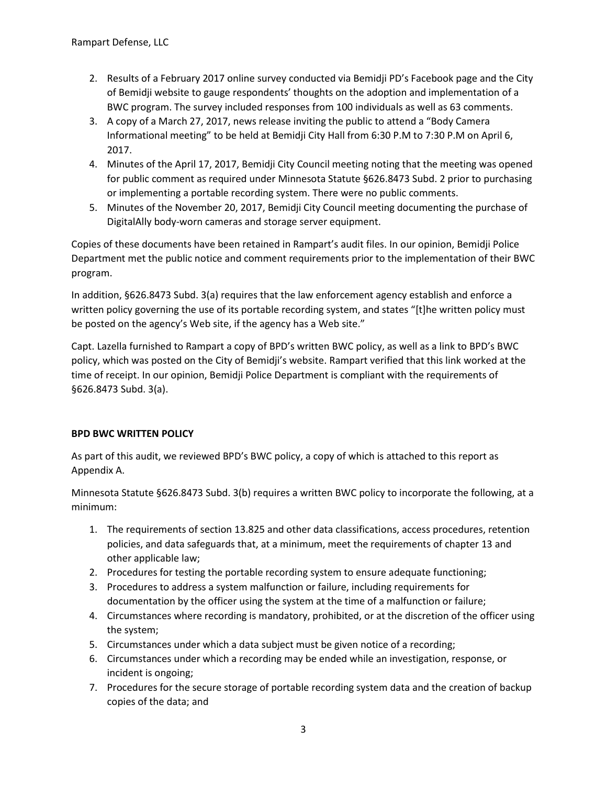- 2. Results of a February 2017 online survey conducted via Bemidji PD's Facebook page and the City of Bemidji website to gauge respondents' thoughts on the adoption and implementation of a BWC program. The survey included responses from 100 individuals as well as 63 comments.
- 3. A copy of a March 27, 2017, news release inviting the public to attend a "Body Camera Informational meeting" to be held at Bemidji City Hall from 6:30 P.M to 7:30 P.M on April 6, 2017.
- 4. Minutes of the April 17, 2017, Bemidji City Council meeting noting that the meeting was opened for public comment as required under Minnesota Statute §626.8473 Subd. 2 prior to purchasing or implementing a portable recording system. There were no public comments.
- 5. Minutes of the November 20, 2017, Bemidji City Council meeting documenting the purchase of DigitalAlly body-worn cameras and storage server equipment.

Copies of these documents have been retained in Rampart's audit files. In our opinion, Bemidji Police Department met the public notice and comment requirements prior to the implementation of their BWC program.

In addition, §626.8473 Subd. 3(a) requires that the law enforcement agency establish and enforce a written policy governing the use of its portable recording system, and states "[t]he written policy must be posted on the agency's Web site, if the agency has a Web site."

Capt. Lazella furnished to Rampart a copy of BPD's written BWC policy, as well as a link to BPD's BWC policy, which was posted on the City of Bemidji's website. Rampart verified that this link worked at the time of receipt. In our opinion, Bemidji Police Department is compliant with the requirements of §626.8473 Subd. 3(a).

# **BPD BWC WRITTEN POLICY**

As part of this audit, we reviewed BPD's BWC policy, a copy of which is attached to this report as Appendix A.

Minnesota Statute §626.8473 Subd. 3(b) requires a written BWC policy to incorporate the following, at a minimum:

- 1. The requirements of section 13.825 and other data classifications, access procedures, retention policies, and data safeguards that, at a minimum, meet the requirements of chapter 13 and other applicable law;
- 2. Procedures for testing the portable recording system to ensure adequate functioning;
- 3. Procedures to address a system malfunction or failure, including requirements for documentation by the officer using the system at the time of a malfunction or failure;
- 4. Circumstances where recording is mandatory, prohibited, or at the discretion of the officer using the system;
- 5. Circumstances under which a data subject must be given notice of a recording;
- 6. Circumstances under which a recording may be ended while an investigation, response, or incident is ongoing;
- 7. Procedures for the secure storage of portable recording system data and the creation of backup copies of the data; and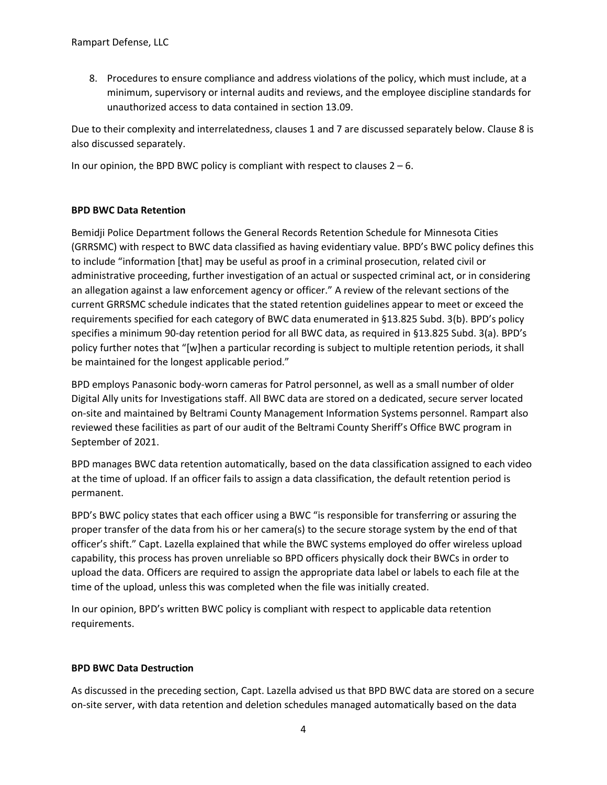8. Procedures to ensure compliance and address violations of the policy, which must include, at a minimum, supervisory or internal audits and reviews, and the employee discipline standards for unauthorized access to data contained in section 13.09.

Due to their complexity and interrelatedness, clauses 1 and 7 are discussed separately below. Clause 8 is also discussed separately.

In our opinion, the BPD BWC policy is compliant with respect to clauses  $2 - 6$ .

## **BPD BWC Data Retention**

Bemidji Police Department follows the General Records Retention Schedule for Minnesota Cities (GRRSMC) with respect to BWC data classified as having evidentiary value. BPD's BWC policy defines this to include "information [that] may be useful as proof in a criminal prosecution, related civil or administrative proceeding, further investigation of an actual or suspected criminal act, or in considering an allegation against a law enforcement agency or officer." A review of the relevant sections of the current GRRSMC schedule indicates that the stated retention guidelines appear to meet or exceed the requirements specified for each category of BWC data enumerated in §13.825 Subd. 3(b). BPD's policy specifies a minimum 90-day retention period for all BWC data, as required in §13.825 Subd. 3(a). BPD's policy further notes that "[w]hen a particular recording is subject to multiple retention periods, it shall be maintained for the longest applicable period."

BPD employs Panasonic body-worn cameras for Patrol personnel, as well as a small number of older Digital Ally units for Investigations staff. All BWC data are stored on a dedicated, secure server located on-site and maintained by Beltrami County Management Information Systems personnel. Rampart also reviewed these facilities as part of our audit of the Beltrami County Sheriff's Office BWC program in September of 2021.

BPD manages BWC data retention automatically, based on the data classification assigned to each video at the time of upload. If an officer fails to assign a data classification, the default retention period is permanent.

BPD's BWC policy states that each officer using a BWC "is responsible for transferring or assuring the proper transfer of the data from his or her camera(s) to the secure storage system by the end of that officer's shift." Capt. Lazella explained that while the BWC systems employed do offer wireless upload capability, this process has proven unreliable so BPD officers physically dock their BWCs in order to upload the data. Officers are required to assign the appropriate data label or labels to each file at the time of the upload, unless this was completed when the file was initially created.

In our opinion, BPD's written BWC policy is compliant with respect to applicable data retention requirements.

# **BPD BWC Data Destruction**

As discussed in the preceding section, Capt. Lazella advised us that BPD BWC data are stored on a secure on-site server, with data retention and deletion schedules managed automatically based on the data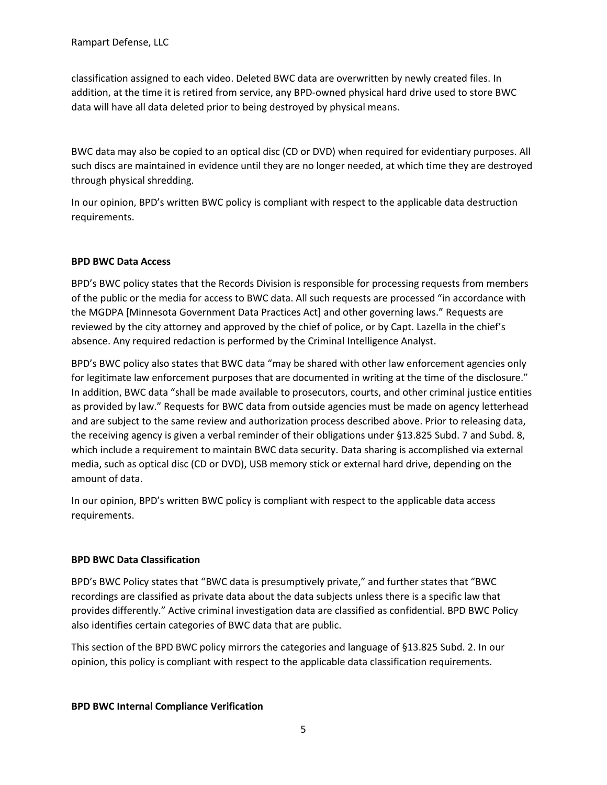classification assigned to each video. Deleted BWC data are overwritten by newly created files. In addition, at the time it is retired from service, any BPD-owned physical hard drive used to store BWC data will have all data deleted prior to being destroyed by physical means.

BWC data may also be copied to an optical disc (CD or DVD) when required for evidentiary purposes. All such discs are maintained in evidence until they are no longer needed, at which time they are destroyed through physical shredding.

In our opinion, BPD's written BWC policy is compliant with respect to the applicable data destruction requirements.

# **BPD BWC Data Access**

BPD's BWC policy states that the Records Division is responsible for processing requests from members of the public or the media for access to BWC data. All such requests are processed "in accordance with the MGDPA [Minnesota Government Data Practices Act] and other governing laws." Requests are reviewed by the city attorney and approved by the chief of police, or by Capt. Lazella in the chief's absence. Any required redaction is performed by the Criminal Intelligence Analyst.

BPD's BWC policy also states that BWC data "may be shared with other law enforcement agencies only for legitimate law enforcement purposes that are documented in writing at the time of the disclosure." In addition, BWC data "shall be made available to prosecutors, courts, and other criminal justice entities as provided by law." Requests for BWC data from outside agencies must be made on agency letterhead and are subject to the same review and authorization process described above. Prior to releasing data, the receiving agency is given a verbal reminder of their obligations under §13.825 Subd. 7 and Subd. 8, which include a requirement to maintain BWC data security. Data sharing is accomplished via external media, such as optical disc (CD or DVD), USB memory stick or external hard drive, depending on the amount of data.

In our opinion, BPD's written BWC policy is compliant with respect to the applicable data access requirements.

#### **BPD BWC Data Classification**

BPD's BWC Policy states that "BWC data is presumptively private," and further states that "BWC recordings are classified as private data about the data subjects unless there is a specific law that provides differently." Active criminal investigation data are classified as confidential. BPD BWC Policy also identifies certain categories of BWC data that are public.

This section of the BPD BWC policy mirrors the categories and language of §13.825 Subd. 2. In our opinion, this policy is compliant with respect to the applicable data classification requirements.

#### **BPD BWC Internal Compliance Verification**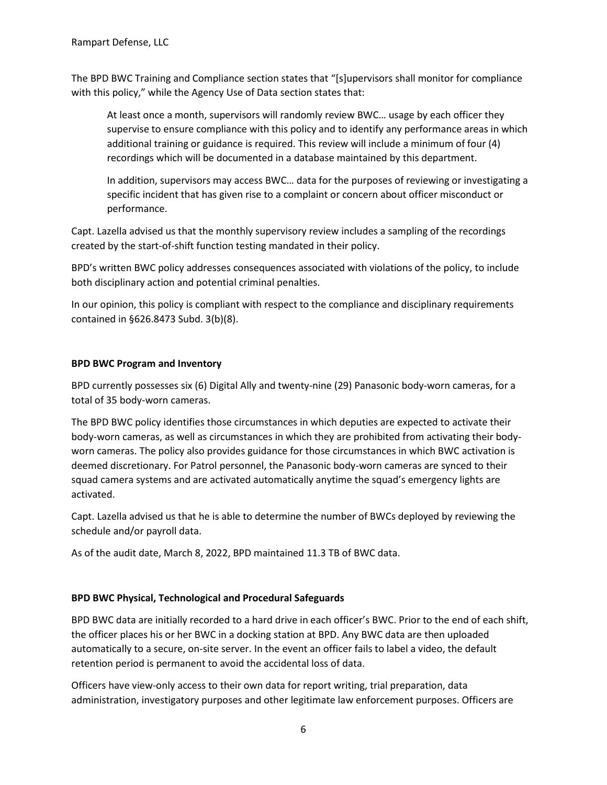The BPD BWC Training and Compliance section states that "[s]upervisors shall monitor for compliance with this policy," while the Agency Use of Data section states that:

At least once a month, supervisors will randomly review BWC… usage by each officer they supervise to ensure compliance with this policy and to identify any performance areas in which additional training or guidance is required. This review will include a minimum of four (4) recordings which will be documented in a database maintained by this department.

In addition, supervisors may access BWC… data for the purposes of reviewing or investigating a specific incident that has given rise to a complaint or concern about officer misconduct or performance.

Capt. Lazella advised us that the monthly supervisory review includes a sampling of the recordings created by the start-of-shift function testing mandated in their policy.

BPD's written BWC policy addresses consequences associated with violations of the policy, to include both disciplinary action and potential criminal penalties.

In our opinion, this policy is compliant with respect to the compliance and disciplinary requirements contained in §626.8473 Subd. 3(b)(8).

## **BPD BWC Program and Inventory**

BPD currently possesses six (6) Digital Ally and twenty-nine (29) Panasonic body-worn cameras, for a total of 35 body-worn cameras.

The BPD BWC policy identifies those circumstances in which deputies are expected to activate their body-worn cameras, as well as circumstances in which they are prohibited from activating their bodyworn cameras. The policy also provides guidance for those circumstances in which BWC activation is deemed discretionary. For Patrol personnel, the Panasonic body-worn cameras are synced to their squad camera systems and are activated automatically anytime the squad's emergency lights are activated.

Capt. Lazella advised us that he is able to determine the number of BWCs deployed by reviewing the schedule and/or payroll data.

As of the audit date, March 8, 2022, BPD maintained 11.3 TB of BWC data.

# **BPD BWC Physical, Technological and Procedural Safeguards**

BPD BWC data are initially recorded to a hard drive in each officer's BWC. Prior to the end of each shift, the officer places his or her BWC in a docking station at BPD. Any BWC data are then uploaded automatically to a secure, on-site server. In the event an officer fails to label a video, the default retention period is permanent to avoid the accidental loss of data.

Officers have view-only access to their own data for report writing, trial preparation, data administration, investigatory purposes and other legitimate law enforcement purposes. Officers are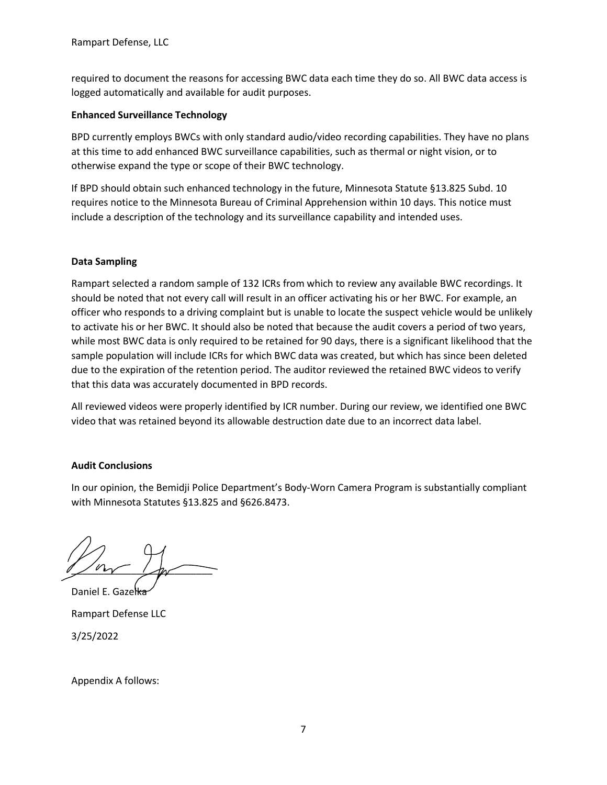required to document the reasons for accessing BWC data each time they do so. All BWC data access is logged automatically and available for audit purposes.

### **Enhanced Surveillance Technology**

BPD currently employs BWCs with only standard audio/video recording capabilities. They have no plans at this time to add enhanced BWC surveillance capabilities, such as thermal or night vision, or to otherwise expand the type or scope of their BWC technology.

If BPD should obtain such enhanced technology in the future, Minnesota Statute §13.825 Subd. 10 requires notice to the Minnesota Bureau of Criminal Apprehension within 10 days. This notice must include a description of the technology and its surveillance capability and intended uses.

## **Data Sampling**

Rampart selected a random sample of 132 ICRs from which to review any available BWC recordings. It should be noted that not every call will result in an officer activating his or her BWC. For example, an officer who responds to a driving complaint but is unable to locate the suspect vehicle would be unlikely to activate his or her BWC. It should also be noted that because the audit covers a period of two years, while most BWC data is only required to be retained for 90 days, there is a significant likelihood that the sample population will include ICRs for which BWC data was created, but which has since been deleted due to the expiration of the retention period. The auditor reviewed the retained BWC videos to verify that this data was accurately documented in BPD records.

All reviewed videos were properly identified by ICR number. During our review, we identified one BWC video that was retained beyond its allowable destruction date due to an incorrect data label.

# **Audit Conclusions**

In our opinion, the Bemidji Police Department's Body-Worn Camera Program is substantially compliant with Minnesota Statutes §13.825 and §626.8473.

 $\sqrt{r}$ 

Daniel E. Gazelka Rampart Defense LLC 3/25/2022

Appendix A follows: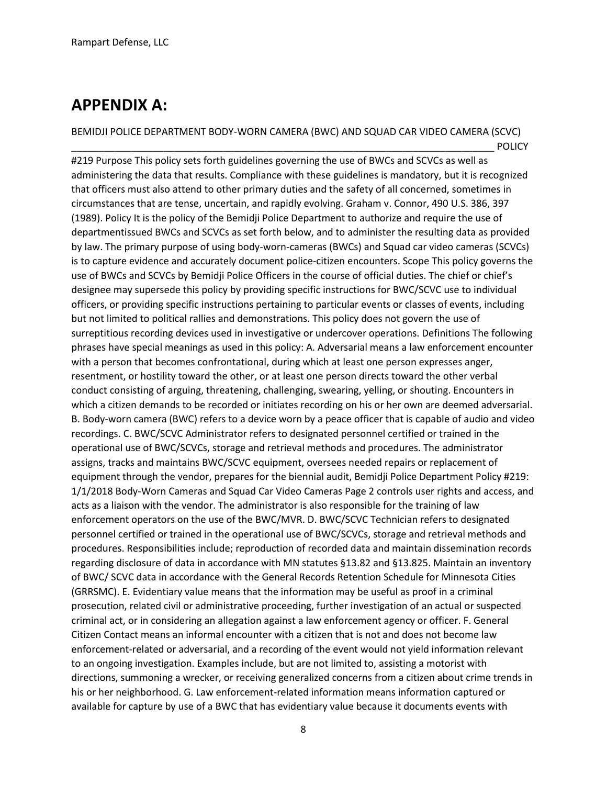# **APPENDIX A:**

BEMIDJI POLICE DEPARTMENT BODY-WORN CAMERA (BWC) AND SQUAD CAR VIDEO CAMERA (SCVC)

\_\_\_\_\_\_\_\_\_\_\_\_\_\_\_\_\_\_\_\_\_\_\_\_\_\_\_\_\_\_\_\_\_\_\_\_\_\_\_\_\_\_\_\_\_\_\_\_\_\_\_\_\_\_\_\_\_\_\_\_\_\_\_\_\_\_\_\_\_\_\_\_\_\_\_\_\_\_ POLICY #219 Purpose This policy sets forth guidelines governing the use of BWCs and SCVCs as well as administering the data that results. Compliance with these guidelines is mandatory, but it is recognized that officers must also attend to other primary duties and the safety of all concerned, sometimes in circumstances that are tense, uncertain, and rapidly evolving. Graham v. Connor, 490 U.S. 386, 397 (1989). Policy It is the policy of the Bemidji Police Department to authorize and require the use of departmentissued BWCs and SCVCs as set forth below, and to administer the resulting data as provided by law. The primary purpose of using body-worn-cameras (BWCs) and Squad car video cameras (SCVCs) is to capture evidence and accurately document police-citizen encounters. Scope This policy governs the use of BWCs and SCVCs by Bemidji Police Officers in the course of official duties. The chief or chief's designee may supersede this policy by providing specific instructions for BWC/SCVC use to individual officers, or providing specific instructions pertaining to particular events or classes of events, including but not limited to political rallies and demonstrations. This policy does not govern the use of surreptitious recording devices used in investigative or undercover operations. Definitions The following phrases have special meanings as used in this policy: A. Adversarial means a law enforcement encounter with a person that becomes confrontational, during which at least one person expresses anger, resentment, or hostility toward the other, or at least one person directs toward the other verbal conduct consisting of arguing, threatening, challenging, swearing, yelling, or shouting. Encounters in which a citizen demands to be recorded or initiates recording on his or her own are deemed adversarial. B. Body-worn camera (BWC) refers to a device worn by a peace officer that is capable of audio and video recordings. C. BWC/SCVC Administrator refers to designated personnel certified or trained in the operational use of BWC/SCVCs, storage and retrieval methods and procedures. The administrator assigns, tracks and maintains BWC/SCVC equipment, oversees needed repairs or replacement of equipment through the vendor, prepares for the biennial audit, Bemidji Police Department Policy #219: 1/1/2018 Body-Worn Cameras and Squad Car Video Cameras Page 2 controls user rights and access, and acts as a liaison with the vendor. The administrator is also responsible for the training of law enforcement operators on the use of the BWC/MVR. D. BWC/SCVC Technician refers to designated personnel certified or trained in the operational use of BWC/SCVCs, storage and retrieval methods and procedures. Responsibilities include; reproduction of recorded data and maintain dissemination records regarding disclosure of data in accordance with MN statutes §13.82 and §13.825. Maintain an inventory of BWC/ SCVC data in accordance with the General Records Retention Schedule for Minnesota Cities (GRRSMC). E. Evidentiary value means that the information may be useful as proof in a criminal prosecution, related civil or administrative proceeding, further investigation of an actual or suspected criminal act, or in considering an allegation against a law enforcement agency or officer. F. General Citizen Contact means an informal encounter with a citizen that is not and does not become law enforcement-related or adversarial, and a recording of the event would not yield information relevant to an ongoing investigation. Examples include, but are not limited to, assisting a motorist with directions, summoning a wrecker, or receiving generalized concerns from a citizen about crime trends in his or her neighborhood. G. Law enforcement-related information means information captured or available for capture by use of a BWC that has evidentiary value because it documents events with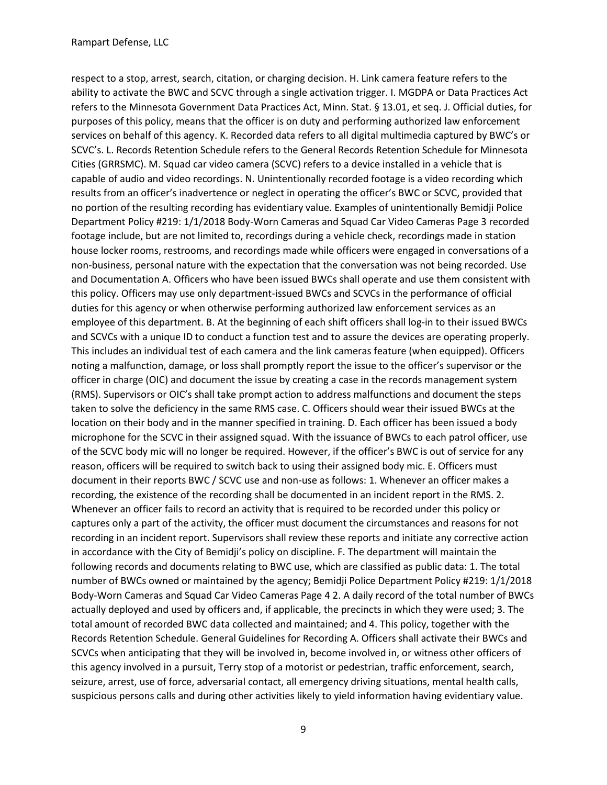respect to a stop, arrest, search, citation, or charging decision. H. Link camera feature refers to the ability to activate the BWC and SCVC through a single activation trigger. I. MGDPA or Data Practices Act refers to the Minnesota Government Data Practices Act, Minn. Stat. § 13.01, et seq. J. Official duties, for purposes of this policy, means that the officer is on duty and performing authorized law enforcement services on behalf of this agency. K. Recorded data refers to all digital multimedia captured by BWC's or SCVC's. L. Records Retention Schedule refers to the General Records Retention Schedule for Minnesota Cities (GRRSMC). M. Squad car video camera (SCVC) refers to a device installed in a vehicle that is capable of audio and video recordings. N. Unintentionally recorded footage is a video recording which results from an officer's inadvertence or neglect in operating the officer's BWC or SCVC, provided that no portion of the resulting recording has evidentiary value. Examples of unintentionally Bemidji Police Department Policy #219: 1/1/2018 Body-Worn Cameras and Squad Car Video Cameras Page 3 recorded footage include, but are not limited to, recordings during a vehicle check, recordings made in station house locker rooms, restrooms, and recordings made while officers were engaged in conversations of a non-business, personal nature with the expectation that the conversation was not being recorded. Use and Documentation A. Officers who have been issued BWCs shall operate and use them consistent with this policy. Officers may use only department-issued BWCs and SCVCs in the performance of official duties for this agency or when otherwise performing authorized law enforcement services as an employee of this department. B. At the beginning of each shift officers shall log-in to their issued BWCs and SCVCs with a unique ID to conduct a function test and to assure the devices are operating properly. This includes an individual test of each camera and the link cameras feature (when equipped). Officers noting a malfunction, damage, or loss shall promptly report the issue to the officer's supervisor or the officer in charge (OIC) and document the issue by creating a case in the records management system (RMS). Supervisors or OIC's shall take prompt action to address malfunctions and document the steps taken to solve the deficiency in the same RMS case. C. Officers should wear their issued BWCs at the location on their body and in the manner specified in training. D. Each officer has been issued a body microphone for the SCVC in their assigned squad. With the issuance of BWCs to each patrol officer, use of the SCVC body mic will no longer be required. However, if the officer's BWC is out of service for any reason, officers will be required to switch back to using their assigned body mic. E. Officers must document in their reports BWC / SCVC use and non-use as follows: 1. Whenever an officer makes a recording, the existence of the recording shall be documented in an incident report in the RMS. 2. Whenever an officer fails to record an activity that is required to be recorded under this policy or captures only a part of the activity, the officer must document the circumstances and reasons for not recording in an incident report. Supervisors shall review these reports and initiate any corrective action in accordance with the City of Bemidji's policy on discipline. F. The department will maintain the following records and documents relating to BWC use, which are classified as public data: 1. The total number of BWCs owned or maintained by the agency; Bemidji Police Department Policy #219: 1/1/2018 Body-Worn Cameras and Squad Car Video Cameras Page 4 2. A daily record of the total number of BWCs actually deployed and used by officers and, if applicable, the precincts in which they were used; 3. The total amount of recorded BWC data collected and maintained; and 4. This policy, together with the Records Retention Schedule. General Guidelines for Recording A. Officers shall activate their BWCs and SCVCs when anticipating that they will be involved in, become involved in, or witness other officers of this agency involved in a pursuit, Terry stop of a motorist or pedestrian, traffic enforcement, search, seizure, arrest, use of force, adversarial contact, all emergency driving situations, mental health calls, suspicious persons calls and during other activities likely to yield information having evidentiary value.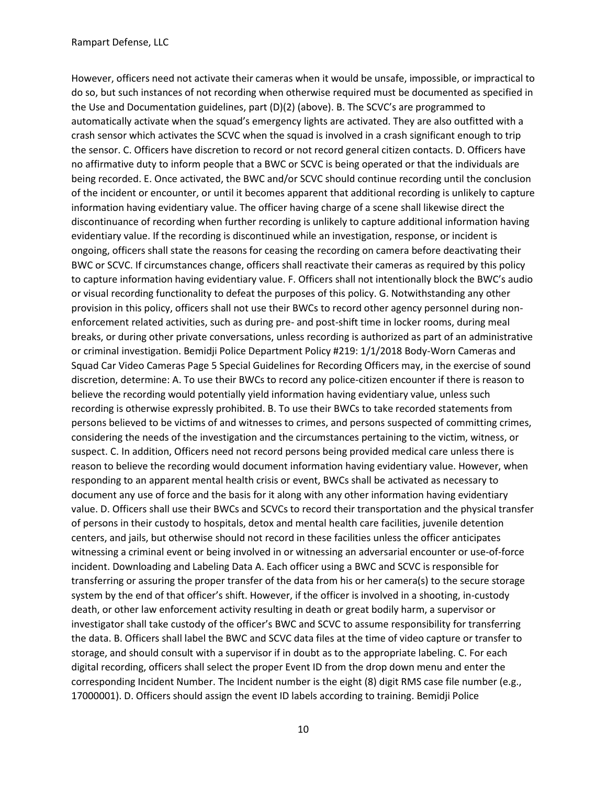However, officers need not activate their cameras when it would be unsafe, impossible, or impractical to do so, but such instances of not recording when otherwise required must be documented as specified in the Use and Documentation guidelines, part (D)(2) (above). B. The SCVC's are programmed to automatically activate when the squad's emergency lights are activated. They are also outfitted with a crash sensor which activates the SCVC when the squad is involved in a crash significant enough to trip the sensor. C. Officers have discretion to record or not record general citizen contacts. D. Officers have no affirmative duty to inform people that a BWC or SCVC is being operated or that the individuals are being recorded. E. Once activated, the BWC and/or SCVC should continue recording until the conclusion of the incident or encounter, or until it becomes apparent that additional recording is unlikely to capture information having evidentiary value. The officer having charge of a scene shall likewise direct the discontinuance of recording when further recording is unlikely to capture additional information having evidentiary value. If the recording is discontinued while an investigation, response, or incident is ongoing, officers shall state the reasons for ceasing the recording on camera before deactivating their BWC or SCVC. If circumstances change, officers shall reactivate their cameras as required by this policy to capture information having evidentiary value. F. Officers shall not intentionally block the BWC's audio or visual recording functionality to defeat the purposes of this policy. G. Notwithstanding any other provision in this policy, officers shall not use their BWCs to record other agency personnel during nonenforcement related activities, such as during pre- and post-shift time in locker rooms, during meal breaks, or during other private conversations, unless recording is authorized as part of an administrative or criminal investigation. Bemidji Police Department Policy #219: 1/1/2018 Body-Worn Cameras and Squad Car Video Cameras Page 5 Special Guidelines for Recording Officers may, in the exercise of sound discretion, determine: A. To use their BWCs to record any police-citizen encounter if there is reason to believe the recording would potentially yield information having evidentiary value, unless such recording is otherwise expressly prohibited. B. To use their BWCs to take recorded statements from persons believed to be victims of and witnesses to crimes, and persons suspected of committing crimes, considering the needs of the investigation and the circumstances pertaining to the victim, witness, or suspect. C. In addition, Officers need not record persons being provided medical care unless there is reason to believe the recording would document information having evidentiary value. However, when responding to an apparent mental health crisis or event, BWCs shall be activated as necessary to document any use of force and the basis for it along with any other information having evidentiary value. D. Officers shall use their BWCs and SCVCs to record their transportation and the physical transfer of persons in their custody to hospitals, detox and mental health care facilities, juvenile detention centers, and jails, but otherwise should not record in these facilities unless the officer anticipates witnessing a criminal event or being involved in or witnessing an adversarial encounter or use-of-force incident. Downloading and Labeling Data A. Each officer using a BWC and SCVC is responsible for transferring or assuring the proper transfer of the data from his or her camera(s) to the secure storage system by the end of that officer's shift. However, if the officer is involved in a shooting, in-custody death, or other law enforcement activity resulting in death or great bodily harm, a supervisor or investigator shall take custody of the officer's BWC and SCVC to assume responsibility for transferring the data. B. Officers shall label the BWC and SCVC data files at the time of video capture or transfer to storage, and should consult with a supervisor if in doubt as to the appropriate labeling. C. For each digital recording, officers shall select the proper Event ID from the drop down menu and enter the corresponding Incident Number. The Incident number is the eight (8) digit RMS case file number (e.g., 17000001). D. Officers should assign the event ID labels according to training. Bemidji Police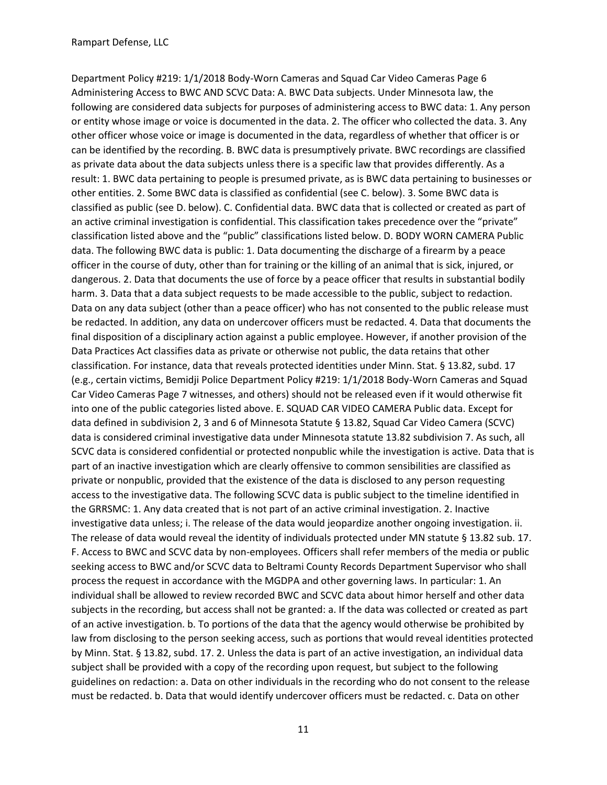Department Policy #219: 1/1/2018 Body-Worn Cameras and Squad Car Video Cameras Page 6 Administering Access to BWC AND SCVC Data: A. BWC Data subjects. Under Minnesota law, the following are considered data subjects for purposes of administering access to BWC data: 1. Any person or entity whose image or voice is documented in the data. 2. The officer who collected the data. 3. Any other officer whose voice or image is documented in the data, regardless of whether that officer is or can be identified by the recording. B. BWC data is presumptively private. BWC recordings are classified as private data about the data subjects unless there is a specific law that provides differently. As a result: 1. BWC data pertaining to people is presumed private, as is BWC data pertaining to businesses or other entities. 2. Some BWC data is classified as confidential (see C. below). 3. Some BWC data is classified as public (see D. below). C. Confidential data. BWC data that is collected or created as part of an active criminal investigation is confidential. This classification takes precedence over the "private" classification listed above and the "public" classifications listed below. D. BODY WORN CAMERA Public data. The following BWC data is public: 1. Data documenting the discharge of a firearm by a peace officer in the course of duty, other than for training or the killing of an animal that is sick, injured, or dangerous. 2. Data that documents the use of force by a peace officer that results in substantial bodily harm. 3. Data that a data subject requests to be made accessible to the public, subject to redaction. Data on any data subject (other than a peace officer) who has not consented to the public release must be redacted. In addition, any data on undercover officers must be redacted. 4. Data that documents the final disposition of a disciplinary action against a public employee. However, if another provision of the Data Practices Act classifies data as private or otherwise not public, the data retains that other classification. For instance, data that reveals protected identities under Minn. Stat. § 13.82, subd. 17 (e.g., certain victims, Bemidji Police Department Policy #219: 1/1/2018 Body-Worn Cameras and Squad Car Video Cameras Page 7 witnesses, and others) should not be released even if it would otherwise fit into one of the public categories listed above. E. SQUAD CAR VIDEO CAMERA Public data. Except for data defined in subdivision 2, 3 and 6 of Minnesota Statute § 13.82, Squad Car Video Camera (SCVC) data is considered criminal investigative data under Minnesota statute 13.82 subdivision 7. As such, all SCVC data is considered confidential or protected nonpublic while the investigation is active. Data that is part of an inactive investigation which are clearly offensive to common sensibilities are classified as private or nonpublic, provided that the existence of the data is disclosed to any person requesting access to the investigative data. The following SCVC data is public subject to the timeline identified in the GRRSMC: 1. Any data created that is not part of an active criminal investigation. 2. Inactive investigative data unless; i. The release of the data would jeopardize another ongoing investigation. ii. The release of data would reveal the identity of individuals protected under MN statute § 13.82 sub. 17. F. Access to BWC and SCVC data by non-employees. Officers shall refer members of the media or public seeking access to BWC and/or SCVC data to Beltrami County Records Department Supervisor who shall process the request in accordance with the MGDPA and other governing laws. In particular: 1. An individual shall be allowed to review recorded BWC and SCVC data about himor herself and other data subjects in the recording, but access shall not be granted: a. If the data was collected or created as part of an active investigation. b. To portions of the data that the agency would otherwise be prohibited by law from disclosing to the person seeking access, such as portions that would reveal identities protected by Minn. Stat. § 13.82, subd. 17. 2. Unless the data is part of an active investigation, an individual data subject shall be provided with a copy of the recording upon request, but subject to the following guidelines on redaction: a. Data on other individuals in the recording who do not consent to the release must be redacted. b. Data that would identify undercover officers must be redacted. c. Data on other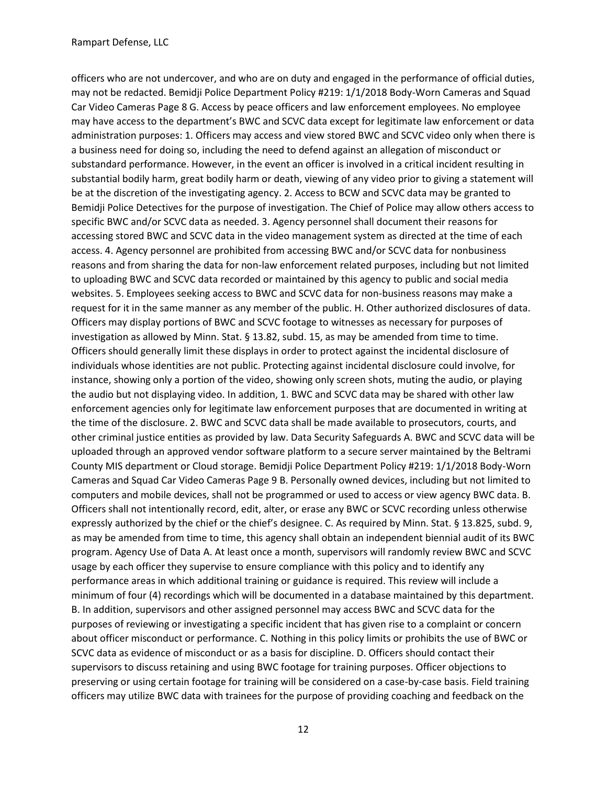officers who are not undercover, and who are on duty and engaged in the performance of official duties, may not be redacted. Bemidji Police Department Policy #219: 1/1/2018 Body-Worn Cameras and Squad Car Video Cameras Page 8 G. Access by peace officers and law enforcement employees. No employee may have access to the department's BWC and SCVC data except for legitimate law enforcement or data administration purposes: 1. Officers may access and view stored BWC and SCVC video only when there is a business need for doing so, including the need to defend against an allegation of misconduct or substandard performance. However, in the event an officer is involved in a critical incident resulting in substantial bodily harm, great bodily harm or death, viewing of any video prior to giving a statement will be at the discretion of the investigating agency. 2. Access to BCW and SCVC data may be granted to Bemidji Police Detectives for the purpose of investigation. The Chief of Police may allow others access to specific BWC and/or SCVC data as needed. 3. Agency personnel shall document their reasons for accessing stored BWC and SCVC data in the video management system as directed at the time of each access. 4. Agency personnel are prohibited from accessing BWC and/or SCVC data for nonbusiness reasons and from sharing the data for non-law enforcement related purposes, including but not limited to uploading BWC and SCVC data recorded or maintained by this agency to public and social media websites. 5. Employees seeking access to BWC and SCVC data for non-business reasons may make a request for it in the same manner as any member of the public. H. Other authorized disclosures of data. Officers may display portions of BWC and SCVC footage to witnesses as necessary for purposes of investigation as allowed by Minn. Stat. § 13.82, subd. 15, as may be amended from time to time. Officers should generally limit these displays in order to protect against the incidental disclosure of individuals whose identities are not public. Protecting against incidental disclosure could involve, for instance, showing only a portion of the video, showing only screen shots, muting the audio, or playing the audio but not displaying video. In addition, 1. BWC and SCVC data may be shared with other law enforcement agencies only for legitimate law enforcement purposes that are documented in writing at the time of the disclosure. 2. BWC and SCVC data shall be made available to prosecutors, courts, and other criminal justice entities as provided by law. Data Security Safeguards A. BWC and SCVC data will be uploaded through an approved vendor software platform to a secure server maintained by the Beltrami County MIS department or Cloud storage. Bemidji Police Department Policy #219: 1/1/2018 Body-Worn Cameras and Squad Car Video Cameras Page 9 B. Personally owned devices, including but not limited to computers and mobile devices, shall not be programmed or used to access or view agency BWC data. B. Officers shall not intentionally record, edit, alter, or erase any BWC or SCVC recording unless otherwise expressly authorized by the chief or the chief's designee. C. As required by Minn. Stat. § 13.825, subd. 9, as may be amended from time to time, this agency shall obtain an independent biennial audit of its BWC program. Agency Use of Data A. At least once a month, supervisors will randomly review BWC and SCVC usage by each officer they supervise to ensure compliance with this policy and to identify any performance areas in which additional training or guidance is required. This review will include a minimum of four (4) recordings which will be documented in a database maintained by this department. B. In addition, supervisors and other assigned personnel may access BWC and SCVC data for the purposes of reviewing or investigating a specific incident that has given rise to a complaint or concern about officer misconduct or performance. C. Nothing in this policy limits or prohibits the use of BWC or SCVC data as evidence of misconduct or as a basis for discipline. D. Officers should contact their supervisors to discuss retaining and using BWC footage for training purposes. Officer objections to preserving or using certain footage for training will be considered on a case-by-case basis. Field training officers may utilize BWC data with trainees for the purpose of providing coaching and feedback on the